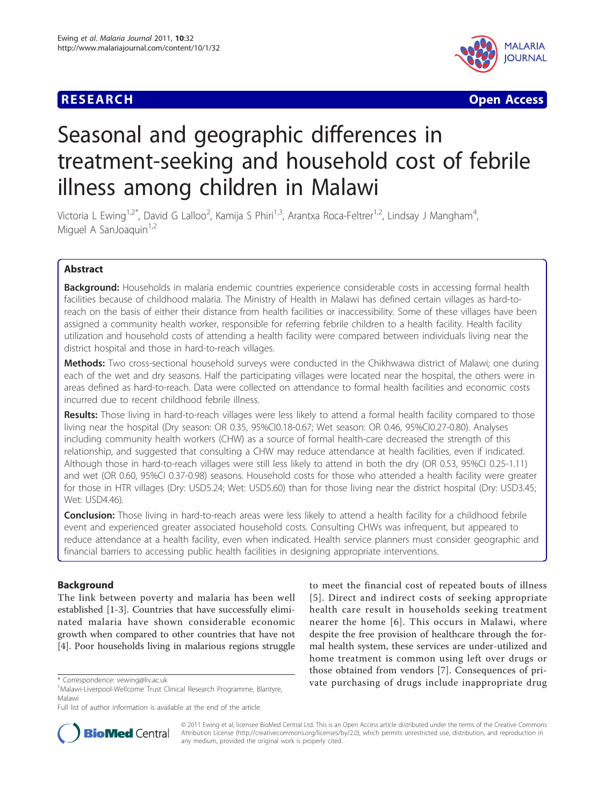



# Seasonal and geographic differences in treatment-seeking and household cost of febrile illness among children in Malawi

Victoria L Ewing<sup>1,2\*</sup>, David G Lalloo<sup>2</sup>, Kamija S Phiri<sup>1,3</sup>, Arantxa Roca-Feltrer<sup>1,2</sup>, Lindsay J Mangham<sup>4</sup> , Miguel A SanJoaquin $1,2$ 

# Abstract

Background: Households in malaria endemic countries experience considerable costs in accessing formal health facilities because of childhood malaria. The Ministry of Health in Malawi has defined certain villages as hard-toreach on the basis of either their distance from health facilities or inaccessibility. Some of these villages have been assigned a community health worker, responsible for referring febrile children to a health facility. Health facility utilization and household costs of attending a health facility were compared between individuals living near the district hospital and those in hard-to-reach villages.

Methods: Two cross-sectional household surveys were conducted in the Chikhwawa district of Malawi; one during each of the wet and dry seasons. Half the participating villages were located near the hospital, the others were in areas defined as hard-to-reach. Data were collected on attendance to formal health facilities and economic costs incurred due to recent childhood febrile illness.

Results: Those living in hard-to-reach villages were less likely to attend a formal health facility compared to those living near the hospital (Dry season: OR 0.35, 95%CI0.18-0.67; Wet season: OR 0.46, 95%CI0.27-0.80). Analyses including community health workers (CHW) as a source of formal health-care decreased the strength of this relationship, and suggested that consulting a CHW may reduce attendance at health facilities, even if indicated. Although those in hard-to-reach villages were still less likely to attend in both the dry (OR 0.53, 95%CI 0.25-1.11) and wet (OR 0.60, 95%CI 0.37-0.98) seasons. Household costs for those who attended a health facility were greater for those in HTR villages (Dry: USD5.24; Wet: USD5.60) than for those living near the district hospital (Dry: USD3.45; Wet: USD4.46).

Conclusion: Those living in hard-to-reach areas were less likely to attend a health facility for a childhood febrile event and experienced greater associated household costs. Consulting CHWs was infrequent, but appeared to reduce attendance at a health facility, even when indicated. Health service planners must consider geographic and financial barriers to accessing public health facilities in designing appropriate interventions.

# Background

The link between poverty and malaria has been well established [\[1](#page-6-0)-[3\]](#page-6-0). Countries that have successfully eliminated malaria have shown considerable economic growth when compared to other countries that have not [[4\]](#page-6-0). Poor households living in malarious regions struggle

to meet the financial cost of repeated bouts of illness [[5\]](#page-6-0). Direct and indirect costs of seeking appropriate health care result in households seeking treatment nearer the home [[6](#page-6-0)]. This occurs in Malawi, where despite the free provision of healthcare through the formal health system, these services are under-utilized and home treatment is common using left over drugs or those obtained from vendors [[7](#page-6-0)]. Consequences of pri\* Correspondence: [vewing@liv.ac.uk](mailto:vewing@liv.ac.uk)



© 2011 Ewing et al; licensee BioMed Central Ltd. This is an Open Access article distributed under the terms of the Creative Commons Attribution License [\(http://creativecommons.org/licenses/by/2.0](http://creativecommons.org/licenses/by/2.0)), which permits unrestricted use, distribution, and reproduction in any medium, provided the original work is properly cited.

<sup>&</sup>lt;sup>1</sup>Malawi-Liverpool-Wellcome Trust Clinical Research Programme, Blantyre, Malawi

Full list of author information is available at the end of the article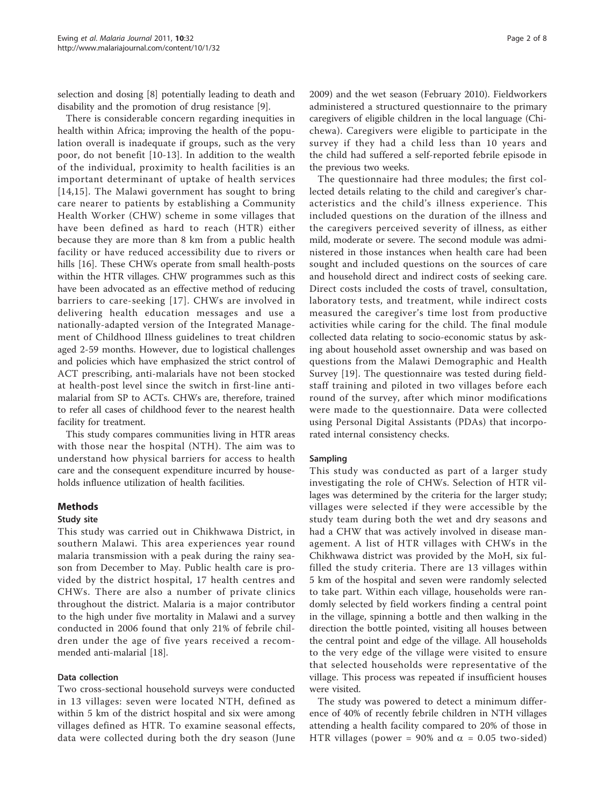selection and dosing [[8\]](#page-6-0) potentially leading to death and disability and the promotion of drug resistance [\[9](#page-6-0)].

There is considerable concern regarding inequities in health within Africa; improving the health of the population overall is inadequate if groups, such as the very poor, do not benefit [[10](#page-6-0)-[13](#page-6-0)]. In addition to the wealth of the individual, proximity to health facilities is an important determinant of uptake of health services [[14,15](#page-6-0)]. The Malawi government has sought to bring care nearer to patients by establishing a Community Health Worker (CHW) scheme in some villages that have been defined as hard to reach (HTR) either because they are more than 8 km from a public health facility or have reduced accessibility due to rivers or hills [\[16](#page-6-0)]. These CHWs operate from small health-posts within the HTR villages. CHW programmes such as this have been advocated as an effective method of reducing barriers to care-seeking [[17\]](#page-6-0). CHWs are involved in delivering health education messages and use a nationally-adapted version of the Integrated Management of Childhood Illness guidelines to treat children aged 2-59 months. However, due to logistical challenges and policies which have emphasized the strict control of ACT prescribing, anti-malarials have not been stocked at health-post level since the switch in first-line antimalarial from SP to ACTs. CHWs are, therefore, trained to refer all cases of childhood fever to the nearest health facility for treatment.

This study compares communities living in HTR areas with those near the hospital (NTH). The aim was to understand how physical barriers for access to health care and the consequent expenditure incurred by households influence utilization of health facilities.

# Methods

## Study site

This study was carried out in Chikhwawa District, in southern Malawi. This area experiences year round malaria transmission with a peak during the rainy season from December to May. Public health care is provided by the district hospital, 17 health centres and CHWs. There are also a number of private clinics throughout the district. Malaria is a major contributor to the high under five mortality in Malawi and a survey conducted in 2006 found that only 21% of febrile children under the age of five years received a recommended anti-malarial [[18](#page-6-0)].

#### Data collection

Two cross-sectional household surveys were conducted in 13 villages: seven were located NTH, defined as within 5 km of the district hospital and six were among villages defined as HTR. To examine seasonal effects, data were collected during both the dry season (June 2009) and the wet season (February 2010). Fieldworkers administered a structured questionnaire to the primary caregivers of eligible children in the local language (Chichewa). Caregivers were eligible to participate in the survey if they had a child less than 10 years and the child had suffered a self-reported febrile episode in the previous two weeks.

The questionnaire had three modules; the first collected details relating to the child and caregiver's characteristics and the child's illness experience. This included questions on the duration of the illness and the caregivers perceived severity of illness, as either mild, moderate or severe. The second module was administered in those instances when health care had been sought and included questions on the sources of care and household direct and indirect costs of seeking care. Direct costs included the costs of travel, consultation, laboratory tests, and treatment, while indirect costs measured the caregiver's time lost from productive activities while caring for the child. The final module collected data relating to socio-economic status by asking about household asset ownership and was based on questions from the Malawi Demographic and Health Survey [\[19](#page-6-0)]. The questionnaire was tested during fieldstaff training and piloted in two villages before each round of the survey, after which minor modifications were made to the questionnaire. Data were collected using Personal Digital Assistants (PDAs) that incorporated internal consistency checks.

#### Sampling

This study was conducted as part of a larger study investigating the role of CHWs. Selection of HTR villages was determined by the criteria for the larger study; villages were selected if they were accessible by the study team during both the wet and dry seasons and had a CHW that was actively involved in disease management. A list of HTR villages with CHWs in the Chikhwawa district was provided by the MoH, six fulfilled the study criteria. There are 13 villages within 5 km of the hospital and seven were randomly selected to take part. Within each village, households were randomly selected by field workers finding a central point in the village, spinning a bottle and then walking in the direction the bottle pointed, visiting all houses between the central point and edge of the village. All households to the very edge of the village were visited to ensure that selected households were representative of the village. This process was repeated if insufficient houses were visited.

The study was powered to detect a minimum difference of 40% of recently febrile children in NTH villages attending a health facility compared to 20% of those in HTR villages (power = 90% and  $\alpha$  = 0.05 two-sided)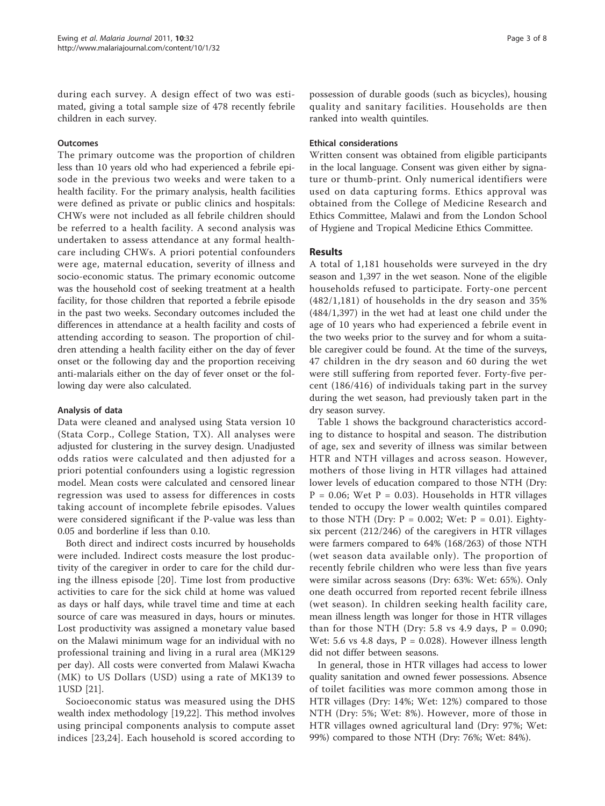during each survey. A design effect of two was estimated, giving a total sample size of 478 recently febrile children in each survey.

## **Outcomes**

The primary outcome was the proportion of children less than 10 years old who had experienced a febrile episode in the previous two weeks and were taken to a health facility. For the primary analysis, health facilities were defined as private or public clinics and hospitals: CHWs were not included as all febrile children should be referred to a health facility. A second analysis was undertaken to assess attendance at any formal healthcare including CHWs. A priori potential confounders were age, maternal education, severity of illness and socio-economic status. The primary economic outcome was the household cost of seeking treatment at a health facility, for those children that reported a febrile episode in the past two weeks. Secondary outcomes included the differences in attendance at a health facility and costs of attending according to season. The proportion of children attending a health facility either on the day of fever onset or the following day and the proportion receiving anti-malarials either on the day of fever onset or the following day were also calculated.

# Analysis of data

Data were cleaned and analysed using Stata version 10 (Stata Corp., College Station, TX). All analyses were adjusted for clustering in the survey design. Unadjusted odds ratios were calculated and then adjusted for a priori potential confounders using a logistic regression model. Mean costs were calculated and censored linear regression was used to assess for differences in costs taking account of incomplete febrile episodes. Values were considered significant if the P-value was less than 0.05 and borderline if less than 0.10.

Both direct and indirect costs incurred by households were included. Indirect costs measure the lost productivity of the caregiver in order to care for the child during the illness episode [[20](#page-6-0)]. Time lost from productive activities to care for the sick child at home was valued as days or half days, while travel time and time at each source of care was measured in days, hours or minutes. Lost productivity was assigned a monetary value based on the Malawi minimum wage for an individual with no professional training and living in a rural area (MK129 per day). All costs were converted from Malawi Kwacha (MK) to US Dollars (USD) using a rate of MK139 to 1USD [\[21\]](#page-6-0).

Socioeconomic status was measured using the DHS wealth index methodology [[19](#page-6-0),[22](#page-6-0)]. This method involves using principal components analysis to compute asset indices [[23](#page-6-0),[24\]](#page-6-0). Each household is scored according to possession of durable goods (such as bicycles), housing quality and sanitary facilities. Households are then ranked into wealth quintiles.

## Ethical considerations

Written consent was obtained from eligible participants in the local language. Consent was given either by signature or thumb-print. Only numerical identifiers were used on data capturing forms. Ethics approval was obtained from the College of Medicine Research and Ethics Committee, Malawi and from the London School of Hygiene and Tropical Medicine Ethics Committee.

# Results

A total of 1,181 households were surveyed in the dry season and 1,397 in the wet season. None of the eligible households refused to participate. Forty-one percent (482/1,181) of households in the dry season and 35% (484/1,397) in the wet had at least one child under the age of 10 years who had experienced a febrile event in the two weeks prior to the survey and for whom a suitable caregiver could be found. At the time of the surveys, 47 children in the dry season and 60 during the wet were still suffering from reported fever. Forty-five percent (186/416) of individuals taking part in the survey during the wet season, had previously taken part in the dry season survey.

Table [1](#page-3-0) shows the background characteristics according to distance to hospital and season. The distribution of age, sex and severity of illness was similar between HTR and NTH villages and across season. However, mothers of those living in HTR villages had attained lower levels of education compared to those NTH (Dry:  $P = 0.06$ ; Wet  $P = 0.03$ ). Households in HTR villages tended to occupy the lower wealth quintiles compared to those NTH (Dry:  $P = 0.002$ ; Wet:  $P = 0.01$ ). Eightysix percent (212/246) of the caregivers in HTR villages were farmers compared to 64% (168/263) of those NTH (wet season data available only). The proportion of recently febrile children who were less than five years were similar across seasons (Dry: 63%: Wet: 65%). Only one death occurred from reported recent febrile illness (wet season). In children seeking health facility care, mean illness length was longer for those in HTR villages than for those NTH (Dry: 5.8 vs 4.9 days,  $P = 0.090$ ; Wet: 5.6 vs 4.8 days,  $P = 0.028$ ). However illness length did not differ between seasons.

In general, those in HTR villages had access to lower quality sanitation and owned fewer possessions. Absence of toilet facilities was more common among those in HTR villages (Dry: 14%; Wet: 12%) compared to those NTH (Dry: 5%; Wet: 8%). However, more of those in HTR villages owned agricultural land (Dry: 97%; Wet: 99%) compared to those NTH (Dry: 76%; Wet: 84%).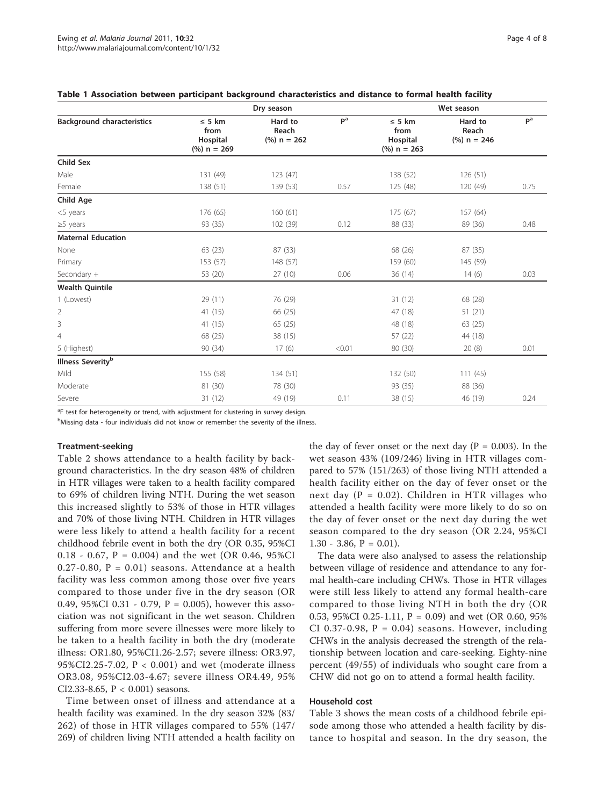| <b>Background characteristics</b> | Dry season                                       |                                   |                | Wet season                                        |                                   |                |
|-----------------------------------|--------------------------------------------------|-----------------------------------|----------------|---------------------------------------------------|-----------------------------------|----------------|
|                                   | $\leq$ 5 km<br>from<br>Hospital<br>$(%) n = 269$ | Hard to<br>Reach<br>$(%) n = 262$ | P <sup>a</sup> | $\leq$ 5 km<br>from<br>Hospital<br>$(\%)$ n = 263 | Hard to<br>Reach<br>$(%) n = 246$ | P <sup>a</sup> |
| Child Sex                         |                                                  |                                   |                |                                                   |                                   |                |
| Male                              | 131 (49)                                         | 123(47)                           |                | 138 (52)                                          | 126 (51)                          |                |
| Female                            | 138 (51)                                         | 139 (53)                          | 0.57           | 125 (48)                                          | 120 (49)                          | 0.75           |
| Child Age                         |                                                  |                                   |                |                                                   |                                   |                |
| $<$ 5 years                       | 176 (65)                                         | 160(61)                           |                | 175 (67)                                          | 157 (64)                          |                |
| $\geq$ 5 years                    | 93 (35)                                          | 102 (39)                          | 0.12           | 88 (33)                                           | 89 (36)                           | 0.48           |
| <b>Maternal Education</b>         |                                                  |                                   |                |                                                   |                                   |                |
| None                              | 63 (23)                                          | 87 (33)                           |                | 68 (26)                                           | 87 (35)                           |                |
| Primary                           | 153 (57)                                         | 148 (57)                          |                | 159 (60)                                          | 145 (59)                          |                |
| Secondary +                       | 53 (20)                                          | 27(10)                            | 0.06           | 36 (14)                                           | 14(6)                             | 0.03           |
| <b>Wealth Quintile</b>            |                                                  |                                   |                |                                                   |                                   |                |
| 1 (Lowest)                        | 29 (11)                                          | 76 (29)                           |                | 31 (12)                                           | 68 (28)                           |                |
| $\overline{2}$                    | 41 (15)                                          | 66 (25)                           |                | 47 (18)                                           | 51(21)                            |                |
| 3                                 | 41 (15)                                          | 65 (25)                           |                | 48 (18)                                           | 63 (25)                           |                |
| 4                                 | 68 (25)                                          | 38 (15)                           |                | 57 (22)                                           | 44 (18)                           |                |
| 5 (Highest)                       | 90 (34)                                          | 17(6)                             | < 0.01         | 80 (30)                                           | 20(8)                             | 0.01           |
| <b>Illness Severity</b> b         |                                                  |                                   |                |                                                   |                                   |                |
| Mild                              | 155 (58)                                         | 134 (51)                          |                | 132 (50)                                          | 111(45)                           |                |
| Moderate                          | 81 (30)                                          | 78 (30)                           |                | 93 (35)                                           | 88 (36)                           |                |
| Severe                            | 31 (12)                                          | 49 (19)                           | 0.11           | 38 (15)                                           | 46 (19)                           | 0.24           |

#### <span id="page-3-0"></span>Table 1 Association between participant background characteristics and distance to formal health facility

<sup>a</sup>F test for heterogeneity or trend, with adjustment for clustering in survey design.

<sup>b</sup>Missing data - four individuals did not know or remember the severity of the illness.

#### Treatment-seeking

Table [2](#page-4-0) shows attendance to a health facility by background characteristics. In the dry season 48% of children in HTR villages were taken to a health facility compared to 69% of children living NTH. During the wet season this increased slightly to 53% of those in HTR villages and 70% of those living NTH. Children in HTR villages were less likely to attend a health facility for a recent childhood febrile event in both the dry (OR 0.35, 95%CI 0.18 - 0.67, P = 0.004) and the wet (OR 0.46, 95%CI 0.27-0.80,  $P = 0.01$ ) seasons. Attendance at a health facility was less common among those over five years compared to those under five in the dry season (OR 0.49, 95%CI 0.31 - 0.79, P = 0.005), however this association was not significant in the wet season. Children suffering from more severe illnesses were more likely to be taken to a health facility in both the dry (moderate illness: OR1.80, 95%CI1.26-2.57; severe illness: OR3.97, 95%CI2.25-7.02, P < 0.001) and wet (moderate illness OR3.08, 95%CI2.03-4.67; severe illness OR4.49, 95% CI2.33-8.65, P < 0.001) seasons.

Time between onset of illness and attendance at a health facility was examined. In the dry season 32% (83/ 262) of those in HTR villages compared to 55% (147/ 269) of children living NTH attended a health facility on the day of fever onset or the next day ( $P = 0.003$ ). In the wet season 43% (109/246) living in HTR villages compared to 57% (151/263) of those living NTH attended a health facility either on the day of fever onset or the next day ( $P = 0.02$ ). Children in HTR villages who attended a health facility were more likely to do so on the day of fever onset or the next day during the wet season compared to the dry season (OR 2.24, 95%CI  $1.30 - 3.86$ ,  $P = 0.01$ ).

The data were also analysed to assess the relationship between village of residence and attendance to any formal health-care including CHWs. Those in HTR villages were still less likely to attend any formal health-care compared to those living NTH in both the dry (OR 0.53, 95%CI 0.25-1.11,  $P = 0.09$ ) and wet (OR 0.60, 95% CI 0.37-0.98,  $P = 0.04$ ) seasons. However, including CHWs in the analysis decreased the strength of the relationship between location and care-seeking. Eighty-nine percent (49/55) of individuals who sought care from a CHW did not go on to attend a formal health facility.

#### Household cost

Table [3](#page-5-0) shows the mean costs of a childhood febrile episode among those who attended a health facility by distance to hospital and season. In the dry season, the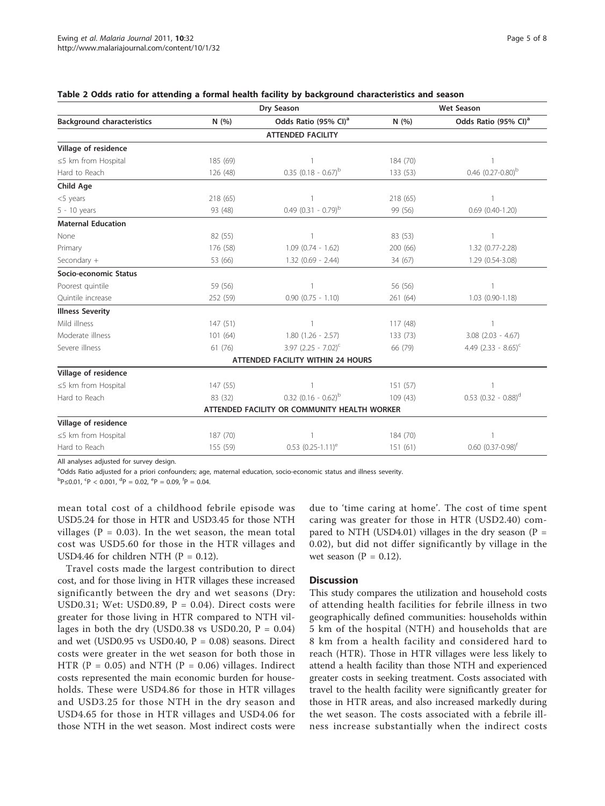|                                   |                                             | Dry Season                                   | <b>Wet Season</b> |                                   |  |
|-----------------------------------|---------------------------------------------|----------------------------------------------|-------------------|-----------------------------------|--|
| <b>Background characteristics</b> | N(%)                                        | Odds Ratio (95% CI) <sup>a</sup>             | N(%)              | Odds Ratio (95% CI) <sup>a</sup>  |  |
|                                   |                                             | <b>ATTENDED FACILITY</b>                     |                   |                                   |  |
| Village of residence              |                                             |                                              |                   |                                   |  |
| $\leq$ 5 km from Hospital         | 185 (69)                                    |                                              |                   | 1                                 |  |
| Hard to Reach                     | 126 (48)                                    | $0.35$ (0.18 - 0.67) <sup>b</sup>            | 133 (53)          | 0.46 $(0.27 - 0.80)^b$            |  |
| Child Age                         |                                             |                                              |                   |                                   |  |
| <5 years                          | 218 (65)                                    |                                              | 218 (65)          | -1                                |  |
| $5 - 10$ years                    | 93 (48)                                     | $0.49$ $(0.31 - 0.79)^b$                     | 99 (56)           | $0.69$ $(0.40-1.20)$              |  |
| <b>Maternal Education</b>         |                                             |                                              |                   |                                   |  |
| None                              | 82 (55)                                     |                                              | 83 (53)           | 1                                 |  |
| Primary                           | 176 (58)                                    | $1.09$ (0.74 - 1.62)                         | 200 (66)          | 1.32 (0.77-2.28)                  |  |
| Secondary +                       | 53 (66)                                     | $1.32$ (0.69 - 2.44)                         | 34 (67)           | 1.29 (0.54-3.08)                  |  |
| Socio-economic Status             |                                             |                                              |                   |                                   |  |
| Poorest quintile                  | 59 (56)                                     |                                              | 56 (56)           |                                   |  |
| Quintile increase                 | 252 (59)                                    | $0.90$ $(0.75 - 1.10)$                       | 261 (64)          | 1.03 (0.90-1.18)                  |  |
| <b>Illness Severity</b>           |                                             |                                              |                   |                                   |  |
| Mild illness                      | 147(51)                                     |                                              | 117(48)           |                                   |  |
| Moderate illness                  | 101(64)                                     | $1.80$ $(1.26 - 2.57)$                       | 133 (73)          | $3.08$ (2.03 - 4.67)              |  |
| Severe illness                    | $3.97$ (2.25 - 7.02) <sup>c</sup><br>61(76) |                                              | 66 (79)           | 4.49 $(2.33 - 8.65)^c$            |  |
|                                   |                                             | <b>ATTENDED FACILITY WITHIN 24 HOURS</b>     |                   |                                   |  |
| Village of residence              |                                             |                                              |                   |                                   |  |
| $\leq$ 5 km from Hospital         | 147(55)                                     |                                              | 151 (57)          |                                   |  |
| Hard to Reach                     | 83 (32)                                     | $0.32$ (0.16 - 0.62) <sup>b</sup>            | 109(43)           | $0.53$ (0.32 - 0.88) <sup>d</sup> |  |
|                                   |                                             | ATTENDED FACILITY OR COMMUNITY HEALTH WORKER |                   |                                   |  |
| Village of residence              |                                             |                                              |                   |                                   |  |
| $\leq$ 5 km from Hospital         | 187 (70)                                    |                                              | 184 (70)          |                                   |  |
| Hard to Reach                     | 155 (59)                                    | $0.53$ $(0.25-1.11)^e$                       | 151(61)           | $0.60$ $(0.37 - 0.98)^t$          |  |

#### <span id="page-4-0"></span>Table 2 Odds ratio for attending a formal health facility by background characteristics and season

All analyses adjusted for survey design.

<sup>a</sup>Odds Ratio adjusted for a priori confounders; age, maternal education, socio-economic status and illness severity.

<sup>b</sup>P≤0.01, <sup>c</sup>P < 0.001, <sup>d</sup>P = 0.02, <sup>e</sup>P = 0.09, <sup>f</sup>P = 0.04.

mean total cost of a childhood febrile episode was USD5.24 for those in HTR and USD3.45 for those NTH villages ( $P = 0.03$ ). In the wet season, the mean total cost was USD5.60 for those in the HTR villages and USD4.46 for children NTH  $(P = 0.12)$ .

Travel costs made the largest contribution to direct cost, and for those living in HTR villages these increased significantly between the dry and wet seasons (Dry: USD0.31; Wet: USD0.89,  $P = 0.04$ ). Direct costs were greater for those living in HTR compared to NTH villages in both the dry (USD0.38 vs USD0.20,  $P = 0.04$ ) and wet (USD0.95 vs USD0.40,  $P = 0.08$ ) seasons. Direct costs were greater in the wet season for both those in HTR ( $P = 0.05$ ) and NTH ( $P = 0.06$ ) villages. Indirect costs represented the main economic burden for households. These were USD4.86 for those in HTR villages and USD3.25 for those NTH in the dry season and USD4.65 for those in HTR villages and USD4.06 for those NTH in the wet season. Most indirect costs were

due to 'time caring at home'. The cost of time spent caring was greater for those in HTR (USD2.40) compared to NTH (USD4.01) villages in the dry season ( $P =$ 0.02), but did not differ significantly by village in the wet season ( $P = 0.12$ ).

#### **Discussion**

This study compares the utilization and household costs of attending health facilities for febrile illness in two geographically defined communities: households within 5 km of the hospital (NTH) and households that are 8 km from a health facility and considered hard to reach (HTR). Those in HTR villages were less likely to attend a health facility than those NTH and experienced greater costs in seeking treatment. Costs associated with travel to the health facility were significantly greater for those in HTR areas, and also increased markedly during the wet season. The costs associated with a febrile illness increase substantially when the indirect costs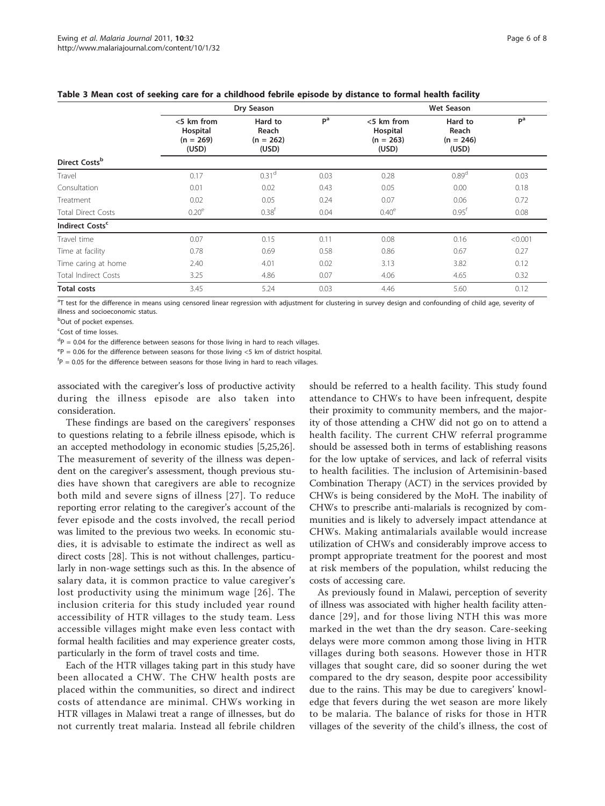|                             | Dry Season                                        |                                          |                | <b>Wet Season</b>                              |                                          |                |  |
|-----------------------------|---------------------------------------------------|------------------------------------------|----------------|------------------------------------------------|------------------------------------------|----------------|--|
|                             | $<$ 5 km from<br>Hospital<br>$(n = 269)$<br>(USD) | Hard to<br>Reach<br>$(n = 262)$<br>(USD) | P <sup>a</sup> | <5 km from<br>Hospital<br>$(n = 263)$<br>(USD) | Hard to<br>Reach<br>$(n = 246)$<br>(USD) | P <sup>a</sup> |  |
| Direct Costs <sup>b</sup>   |                                                   |                                          |                |                                                |                                          |                |  |
| Travel                      | 0.17                                              | 0.31 <sup>d</sup>                        | 0.03           | 0.28                                           | 0.89 <sup>d</sup>                        | 0.03           |  |
| Consultation                | 0.01                                              | 0.02                                     | 0.43           | 0.05                                           | 0.00                                     | 0.18           |  |
| Treatment                   | 0.02                                              | 0.05                                     | 0.24           | 0.07                                           | 0.06                                     | 0.72           |  |
| <b>Total Direct Costs</b>   | 0.20 <sup>e</sup>                                 | 0.38 <sup>†</sup>                        | 0.04           | 0.40 <sup>e</sup>                              | 0.95 <sup>†</sup>                        | 0.08           |  |
| Indirect Costs <sup>c</sup> |                                                   |                                          |                |                                                |                                          |                |  |
| Travel time                 | 0.07                                              | 0.15                                     | 0.11           | 0.08                                           | 0.16                                     | < 0.001        |  |
| Time at facility            | 0.78                                              | 0.69                                     | 0.58           | 0.86                                           | 0.67                                     | 0.27           |  |
| Time caring at home         | 2.40                                              | 4.01                                     | 0.02           | 3.13                                           | 3.82                                     | 0.12           |  |
| <b>Total Indirect Costs</b> | 3.25                                              | 4.86                                     | 0.07           | 4.06                                           | 4.65                                     | 0.32           |  |
| <b>Total costs</b>          | 3.45                                              | 5.24                                     | 0.03           | 4.46                                           | 5.60                                     | 0.12           |  |

<span id="page-5-0"></span>

|  |  |  |  |  | Table 3 Mean cost of seeking care for a childhood febrile episode by distance to formal health facility |
|--|--|--|--|--|---------------------------------------------------------------------------------------------------------|
|--|--|--|--|--|---------------------------------------------------------------------------------------------------------|

<sup>a</sup>T test for the difference in means using censored linear regression with adjustment for clustering in survey design and confounding of child age, severity of illness and socioeconomic status.

<sup>b</sup>Out of pocket expenses.

<sup>c</sup>Cost of time losses.

 ${}^{d}P = 0.04$  for the difference between seasons for those living in hard to reach villages.

ep = 0.06 for the difference between seasons for those living <5 km of district hospital.

 $f^{\text{f}}$  = 0.05 for the difference between seasons for those living in hard to reach villages.

associated with the caregiver's loss of productive activity during the illness episode are also taken into consideration.

These findings are based on the caregivers' responses to questions relating to a febrile illness episode, which is an accepted methodology in economic studies [[5,25,26](#page-6-0)]. The measurement of severity of the illness was dependent on the caregiver's assessment, though previous studies have shown that caregivers are able to recognize both mild and severe signs of illness [[27](#page-7-0)]. To reduce reporting error relating to the caregiver's account of the fever episode and the costs involved, the recall period was limited to the previous two weeks. In economic studies, it is advisable to estimate the indirect as well as direct costs [[28\]](#page-7-0). This is not without challenges, particularly in non-wage settings such as this. In the absence of salary data, it is common practice to value caregiver's lost productivity using the minimum wage [\[26\]](#page-6-0). The inclusion criteria for this study included year round accessibility of HTR villages to the study team. Less accessible villages might make even less contact with formal health facilities and may experience greater costs, particularly in the form of travel costs and time.

Each of the HTR villages taking part in this study have been allocated a CHW. The CHW health posts are placed within the communities, so direct and indirect costs of attendance are minimal. CHWs working in HTR villages in Malawi treat a range of illnesses, but do not currently treat malaria. Instead all febrile children should be referred to a health facility. This study found attendance to CHWs to have been infrequent, despite their proximity to community members, and the majority of those attending a CHW did not go on to attend a health facility. The current CHW referral programme should be assessed both in terms of establishing reasons for the low uptake of services, and lack of referral visits to health facilities. The inclusion of Artemisinin-based Combination Therapy (ACT) in the services provided by CHWs is being considered by the MoH. The inability of CHWs to prescribe anti-malarials is recognized by communities and is likely to adversely impact attendance at CHWs. Making antimalarials available would increase utilization of CHWs and considerably improve access to prompt appropriate treatment for the poorest and most at risk members of the population, whilst reducing the costs of accessing care.

As previously found in Malawi, perception of severity of illness was associated with higher health facility attendance [[29](#page-7-0)], and for those living NTH this was more marked in the wet than the dry season. Care-seeking delays were more common among those living in HTR villages during both seasons. However those in HTR villages that sought care, did so sooner during the wet compared to the dry season, despite poor accessibility due to the rains. This may be due to caregivers' knowledge that fevers during the wet season are more likely to be malaria. The balance of risks for those in HTR villages of the severity of the child's illness, the cost of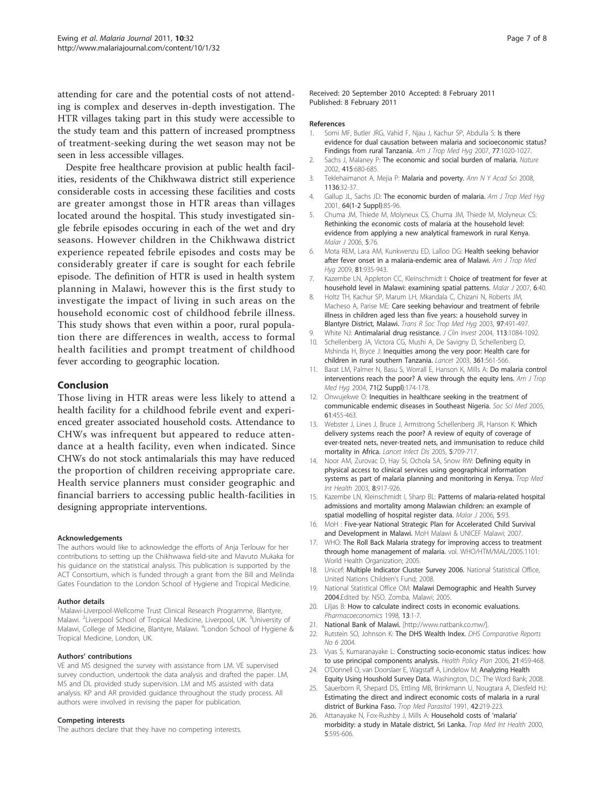<span id="page-6-0"></span>attending for care and the potential costs of not attending is complex and deserves in-depth investigation. The HTR villages taking part in this study were accessible to the study team and this pattern of increased promptness of treatment-seeking during the wet season may not be seen in less accessible villages.

Despite free healthcare provision at public health facilities, residents of the Chikhwawa district still experience considerable costs in accessing these facilities and costs are greater amongst those in HTR areas than villages located around the hospital. This study investigated single febrile episodes occuring in each of the wet and dry seasons. However children in the Chikhwawa district experience repeated febrile episodes and costs may be considerably greater if care is sought for each febrile episode. The definition of HTR is used in health system planning in Malawi, however this is the first study to investigate the impact of living in such areas on the household economic cost of childhood febrile illness. This study shows that even within a poor, rural population there are differences in wealth, access to formal health facilities and prompt treatment of childhood fever according to geographic location.

#### Conclusion

Those living in HTR areas were less likely to attend a health facility for a childhood febrile event and experienced greater associated household costs. Attendance to CHWs was infrequent but appeared to reduce attendance at a health facility, even when indicated. Since CHWs do not stock antimalarials this may have reduced the proportion of children receiving appropriate care. Health service planners must consider geographic and financial barriers to accessing public health-facilities in designing appropriate interventions.

#### Acknowledgements

The authors would like to acknowledge the efforts of Anja Terlouw for her contributions to setting up the Chikhwawa field-site and Mavuto Mukaka for his guidance on the statistical analysis. This publication is supported by the ACT Consortium, which is funded through a grant from the Bill and Melinda Gates Foundation to the London School of Hygiene and Tropical Medicine.

#### Author details

<sup>1</sup>Malawi-Liverpool-Wellcome Trust Clinical Research Programme, Blantyre, Malawi. <sup>2</sup>Liverpool School of Tropical Medicine, Liverpool, UK. <sup>3</sup>University of Malawi, College of Medicine, Blantyre, Malawi. <sup>4</sup>London School of Hygiene & Tropical Medicine, London, UK.

#### Authors' contributions

VE and MS designed the survey with assistance from LM. VE supervised survey conduction, undertook the data analysis and drafted the paper. LM, MS and DL provided study supervision. LM and MS assisted with data analysis. KP and AR provided guidance throughout the study process. All authors were involved in revising the paper for publication.

#### Competing interests

The authors declare that they have no competing interests.

Received: 20 September 2010 Accepted: 8 February 2011 Published: 8 February 2011

#### References

- 1. Somi MF, Butler JRG, Vahid F, Njau J, Kachur SP, Abdulla S: [Is there](http://www.ncbi.nlm.nih.gov/pubmed/18165515?dopt=Abstract) [evidence for dual causation between malaria and socioeconomic status?](http://www.ncbi.nlm.nih.gov/pubmed/18165515?dopt=Abstract) [Findings from rural Tanzania.](http://www.ncbi.nlm.nih.gov/pubmed/18165515?dopt=Abstract) Am J Trop Med Hyg 2007, 77:1020-1027.
- 2. Sachs J, Malaney P: [The economic and social burden of malaria.](http://www.ncbi.nlm.nih.gov/pubmed/11832956?dopt=Abstract) Nature 2002, 415:680-685.
- 3. Teklehaimanot A, Mejia P: [Malaria and poverty.](http://www.ncbi.nlm.nih.gov/pubmed/18579874?dopt=Abstract) Ann N Y Acad Sci 2008, 1136:32-37.
- 4. Gallup JL, Sachs JD: [The economic burden of malaria.](http://www.ncbi.nlm.nih.gov/pubmed/11425181?dopt=Abstract) Am J Trop Med Hyg 2001, 64(1-2 Suppl):85-96.
- 5. Chuma JM, Thiede M, Molyneux CS, Chuma JM, Thiede M, Molyneux CS: [Rethinking the economic costs of malaria at the household level:](http://www.ncbi.nlm.nih.gov/pubmed/16939658?dopt=Abstract) [evidence from applying a new analytical framework in rural Kenya.](http://www.ncbi.nlm.nih.gov/pubmed/16939658?dopt=Abstract) Malar J 2006, 5:76.
- Mota REM, Lara AM, Kunkwenzu ED, Lalloo DG: [Health seeking behavior](http://www.ncbi.nlm.nih.gov/pubmed/19996420?dopt=Abstract) [after fever onset in a malaria-endemic area of Malawi.](http://www.ncbi.nlm.nih.gov/pubmed/19996420?dopt=Abstract) Am J Trop Med Hyg 2009, 81:935-943.
- 7. Kazembe LN, Appleton CC, Kleinschmidt I: [Choice of treatment for fever at](http://www.ncbi.nlm.nih.gov/pubmed/17425775?dopt=Abstract) [household level in Malawi: examining spatial patterns.](http://www.ncbi.nlm.nih.gov/pubmed/17425775?dopt=Abstract) Malar J 2007, 6:40.
- 8. Holtz TH, Kachur SP, Marum LH, Mkandala C, Chizani N, Roberts JM, Macheso A, Parise ME: [Care seeking behaviour and treatment of febrile](http://www.ncbi.nlm.nih.gov/pubmed/15307408?dopt=Abstract) [illness in children aged less than five years: a household survey in](http://www.ncbi.nlm.nih.gov/pubmed/15307408?dopt=Abstract) [Blantyre District, Malawi.](http://www.ncbi.nlm.nih.gov/pubmed/15307408?dopt=Abstract) Trans R Soc Trop Med Hyg 2003, 97:491-497.
- White NJ: [Antimalarial drug resistance.](http://www.ncbi.nlm.nih.gov/pubmed/15085184?dopt=Abstract) J Clin Invest 2004, 113:1084-1092.
- 10. Schellenberg JA, Victora CG, Mushi A, De Savigny D, Schellenberg D, Mshinda H, Bryce J: [Inequities among the very poor: Health care for](http://www.ncbi.nlm.nih.gov/pubmed/12598141?dopt=Abstract) [children in rural southern Tanzania.](http://www.ncbi.nlm.nih.gov/pubmed/12598141?dopt=Abstract) Lancet 2003, 361:561-566.
- 11. Barat LM, Palmer N, Basu S, Worrall E, Hanson K, Mills A: [Do malaria control](http://www.ncbi.nlm.nih.gov/pubmed/15331835?dopt=Abstract) [interventions reach the poor? A view through the equity lens.](http://www.ncbi.nlm.nih.gov/pubmed/15331835?dopt=Abstract) Am J Trop Med Hyg 2004, 71(2 Suppl):174-178.
- 12. Onwujekwe O: [Inequities in healthcare seeking in the treatment of](http://www.ncbi.nlm.nih.gov/pubmed/15893059?dopt=Abstract) [communicable endemic diseases in Southeast Nigeria.](http://www.ncbi.nlm.nih.gov/pubmed/15893059?dopt=Abstract) Soc Sci Med 2005, 61:455-463.
- 13. Webster J, Lines J, Bruce J, Armstrong Schellenberg JR, Hanson K: [Which](http://www.ncbi.nlm.nih.gov/pubmed/16253888?dopt=Abstract) [delivery systems reach the poor? A review of equity of coverage of](http://www.ncbi.nlm.nih.gov/pubmed/16253888?dopt=Abstract) [ever-treated nets, never-treated nets, and immunisation to reduce child](http://www.ncbi.nlm.nih.gov/pubmed/16253888?dopt=Abstract) [mortality in Africa.](http://www.ncbi.nlm.nih.gov/pubmed/16253888?dopt=Abstract) Lancet Infect Dis 2005, 5:709-717.
- 14. Noor AM, Zurovac D, Hay SI, Ochola SA, Snow RW: [Defining equity in](http://www.ncbi.nlm.nih.gov/pubmed/14516303?dopt=Abstract) [physical access to clinical services using geographical information](http://www.ncbi.nlm.nih.gov/pubmed/14516303?dopt=Abstract) [systems as part of malaria planning and monitoring in Kenya.](http://www.ncbi.nlm.nih.gov/pubmed/14516303?dopt=Abstract) Trop Med Int Health 2003, 8:917-926.
- 15. Kazembe LN, Kleinschmidt I, Sharp BL: [Patterns of malaria-related hospital](http://www.ncbi.nlm.nih.gov/pubmed/17067375?dopt=Abstract) [admissions and mortality among Malawian children: an example of](http://www.ncbi.nlm.nih.gov/pubmed/17067375?dopt=Abstract) [spatial modelling of hospital register data.](http://www.ncbi.nlm.nih.gov/pubmed/17067375?dopt=Abstract) Malar J 2006, 5:93.
- 16. MoH : Five-year National Strategic Plan for Accelerated Child Survival and Development in Malawi. MoH Malawi & UNICEF Malawi; 2007.
- 17. WHO: The Roll Back Malaria strategy for improving access to treatment through home management of malaria. vol. WHO/HTM/MAL/2005.1101: World Health Organization; 2005.
- 18. Unicef: Multiple Indicator Cluster Survey 2006. National Statistical Office, United Nations Children's Fund; 2008.
- 19. National Statistical Office OM: Malawi Demographic and Health Survey 2004.Edited by: NSO. Zomba, Malawi; 2005.
- 20. Liljas B: [How to calculate indirect costs in economic evaluations.](http://www.ncbi.nlm.nih.gov/pubmed/10175982?dopt=Abstract) Pharmacoeconomics 1998, 13:1-7.
- 21. National Bank of Malawi. [\[http://www.natbank.co.mw/](http://www.natbank.co.mw/)].
- 22. Rutstein SO, Johnson K: The DHS Wealth Index. DHS Comparative Reports No 6 2004.
- 23. Vyas S, Kumaranayake L: [Constructing socio-economic status indices: how](http://www.ncbi.nlm.nih.gov/pubmed/17030551?dopt=Abstract) [to use principal components analysis.](http://www.ncbi.nlm.nih.gov/pubmed/17030551?dopt=Abstract) Health Policy Plan 2006, 21:459-468.
- 24. O'Donnell O, van Doorslaer E, Wagstaff A, Lindelow M: Analyzing Health Equity Using Houshold Survey Data. Washington, D.C: The Word Bank; 2008.
- 25. Sauerborn R, Shepard DS, Ettling MB, Brinkmann U, Nougtara A, Diesfeld HJ: [Estimating the direct and indirect economic costs of malaria in a rural](http://www.ncbi.nlm.nih.gov/pubmed/1801150?dopt=Abstract) [district of Burkina Faso.](http://www.ncbi.nlm.nih.gov/pubmed/1801150?dopt=Abstract) Trop Med Parasitol 1991, 42:219-223.
- 26. Attanayake N, Fox-Rushby J, Mills A: [Household costs of](http://www.ncbi.nlm.nih.gov/pubmed/11044273?dopt=Abstract) 'malaria' [morbidity: a study in Matale district, Sri Lanka.](http://www.ncbi.nlm.nih.gov/pubmed/11044273?dopt=Abstract) Trop Med Int Health 2000, 5:595-606.